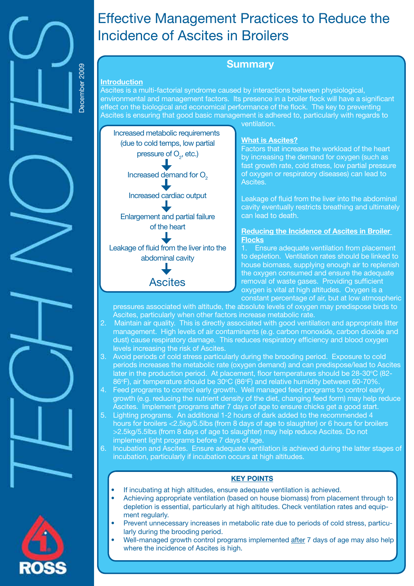

# Effective Management Practices to Reduce the Incidence of Ascites in Broilers

# **Summary**

#### **Introduction**

Ascites is a multi-factorial syndrome caused by interactions between physiological, environmental and management factors. Its presence in a broiler flock will have a significant effect on the biological and economical performance of the flock. The key to preventing Ascites is ensuring that good basic management is adhered to, particularly with regards to ventilation.



#### **What is Ascites?**

Factors that increase the workload of the heart by increasing the demand for oxygen (such as fast growth rate, cold stress, low partial pressure of oxygen or respiratory diseases) can lead to Ascites.

Leakage of fluid from the liver into the abdominal cavity eventually restricts breathing and ultimately can lead to death.

#### **Reducing the Incidence of Ascites in Broiler Flocks**

Ensure adequate ventilation from placement to depletion. Ventilation rates should be linked to house biomass, supplying enough air to replenish the oxygen consumed and ensure the adequate removal of waste gases. Providing sufficient oxygen is vital at high altitudes. Oxygen is a constant percentage of air, but at low atmospheric

pressures associated with altitude, the absolute levels of oxygen may predispose birds to Ascites, particularly when other factors increase metabolic rate.

- 2. Maintain air quality. This is directly associated with good ventilation and appropriate litter management. High levels of air contaminants (e.g. carbon monoxide, carbon dioxide and dust) cause respiratory damage. This reduces respiratory efficiency and blood oxygen levels increasing the risk of Ascites.
- 3. Avoid periods of cold stress particularly during the brooding period. Exposure to cold periods increases the metabolic rate (oxygen demand) and can predispose/lead to Ascites later in the production period. At placement, floor temperatures should be 28-30°C (82-86°F), air temperature should be 30°C (86°F) and relative humidity between 60-70%.
- 4. Feed programs to control early growth. Well managed feed programs to control early growth (e.g. reducing the nutrient density of the diet, changing feed form) may help reduce Ascites. Implement programs after 7 days of age to ensure chicks get a good start.
- 5. Lighting programs. An additional 1-2 hours of dark added to the recommended 4 hours for broilers <2.5kg/5.5lbs (from 8 days of age to slaughter) or 6 hours for broilers >2.5kg/5.5lbs (from 8 days of age to slaughter) may help reduce Ascites. Do not implement light programs before 7 days of age.
- 6. Incubation and Ascites. Ensure adequate ventilation is achieved during the latter stages of incubation, particularly if incubation occurs at high altitudes.

# **KEY POINTS**

- If incubating at high altitudes, ensure adequate ventilation is achieved.
- Achieving appropriate ventilation (based on house biomass) from placement through to depletion is essential, particularly at high altitudes. Check ventilation rates and equipment regularly.
- Prevent unnecessary increases in metabolic rate due to periods of cold stress, particularly during the brooding period.
- Well-managed growth control programs implemented after 7 days of age may also help where the incidence of Ascites is high.

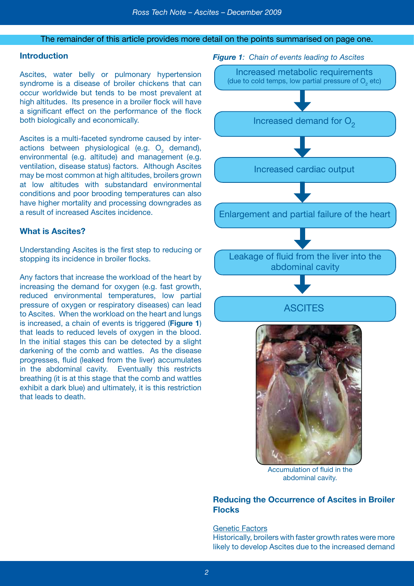#### The remainder of this article provides more detail on the points summarised on page one.

# **Introduction**

Ascites, water belly or pulmonary hypertension syndrome is a disease of broiler chickens that can occur worldwide but tends to be most prevalent at high altitudes. Its presence in a broiler flock will have a significant effect on the performance of the flock both biologically and economically.

Ascites is a multi-faceted syndrome caused by interactions between physiological (e.g.  $O_2$  demand), environmental (e.g. altitude) and management (e.g. ventilation, disease status) factors. Although Ascites may be most common at high altitudes, broilers grown at low altitudes with substandard environmental conditions and poor brooding temperatures can also have higher mortality and processing downgrades as a result of increased Ascites incidence.

## **What is Ascites?**

Understanding Ascites is the first step to reducing or stopping its incidence in broiler flocks.

Any factors that increase the workload of the heart by increasing the demand for oxygen (e.g. fast growth, reduced environmental temperatures, low partial pressure of oxygen or respiratory diseases) can lead to Ascites. When the workload on the heart and lungs is increased, a chain of events is triggered (**Figure 1**) that leads to reduced levels of oxygen in the blood. In the initial stages this can be detected by a slight darkening of the comb and wattles. As the disease progresses, fluid (leaked from the liver) accumulates in the abdominal cavity. Eventually this restricts breathing (it is at this stage that the comb and wattles exhibit a dark blue) and ultimately, it is this restriction that leads to death.

*Figure 1: Chain of events leading to Ascites*



Accumulation of fluid in the abdominal cavity.

# **Reducing the Occurrence of Ascites in Broiler Flocks**

Genetic Factors Historically, broilers with faster growth rates were more likely to develop Ascites due to the increased demand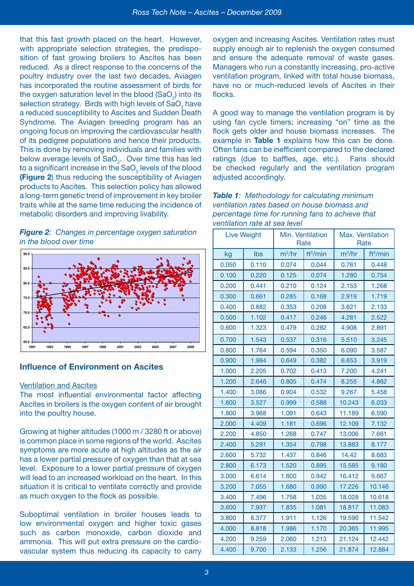that this fast growth placed on the heart. However, with appropriate selection strategies, the predisposition of fast growing broilers to Ascites has been reduced. As a direct response to the concerns of the poultry industry over the last two decades, Aviagen has incorporated the routine assessment of birds for the oxygen saturation level in the blood (SaO<sub>2</sub>) into its selection strategy. Birds with high levels of SaO<sub>2</sub> have a reduced susceptibility to Ascites and Sudden Death Syndrome. The Aviagen breeding program has an ongoing focus on improving the cardiovascular health of its pedigree populations and hence their products. This is done by removing individuals and families with below average levels of SaO<sub>2</sub>. Over time this has led to a significant increase in the SaO $_2$  levels of the blood **(Figure 2**) thus reducing the susceptibility of Aviagen products to Ascites. This selection policy has allowed a long-term genetic trend of improvement in key broiler traits while at the same time reducing the incidence of metabolic disorders and improving livability.

*Figure 2: Changes in percentage oxygen saturation in the blood over time*



# **Influence of Environment on Ascites**

#### Ventilation and Ascites

The most influential environmental factor affecting Ascites in broilers is the oxygen content of air brought into the poultry house.

Growing at higher altitudes (1000 m / 3280 ft or above) is common place in some regions of the world. Ascites symptoms are more acute at high altitudes as the air has a lower partial pressure of oxygen than that at sea level. Exposure to a lower partial pressure of oxygen will lead to an increased workload on the heart. In this situation it is critical to ventilate correctly and provide as much oxygen to the flock as possible.

Suboptimal ventilation in broiler houses leads to low environmental oxygen and higher toxic gases such as carbon monoxide, carbon dioxide and ammonia. This will put extra pressure on the cardiovascular system thus reducing its capacity to carry

oxygen and increasing Ascites. Ventilation rates must supply enough air to replenish the oxygen consumed and ensure the adequate removal of waste gases. Managers who run a constantly increasing, pro-active ventilation program, linked with total house biomass, have no or much-reduced levels of Ascites in their flocks.

A good way to manage the ventilation program is by using fan cycle timers; increasing "on" time as the flock gets older and house biomass increases. The example in **Table 1** explains how this can be done. Often fans can be inefficient compared to the declared ratings (due to baffles, age, etc.). Fans should be checked regularly and the ventilation program adjusted accordingly.

| <b>Table 1:</b> Methodology for calculating minimum |
|-----------------------------------------------------|
| ventilation rates based on house biomass and        |
| percentage time for running fans to achieve that    |
| ventilation rate at sea level                       |

|       | <b>Live Weight</b> | Min. Ventilation<br>Rate |                      | Max. Ventilation<br>Rate |                      |
|-------|--------------------|--------------------------|----------------------|--------------------------|----------------------|
| kg    | Ibs                | $m^3/hr$                 | ft <sup>3</sup> /min | $m^3/hr$                 | ft <sup>3</sup> /min |
| 0.050 | 0.110              | 0.074                    | 0.044                | 0.761                    | 0.448                |
| 0.100 | 0.220              | 0.125                    | 0.074                | 1.280                    | 0.754                |
| 0.200 | 0.441              | 0.210                    | 0.124                | 2.153                    | 1.268                |
| 0.300 | 0.661              | 0.285                    | 0.168                | 2.919                    | 1.719                |
| 0.400 | 0.882              | 0.353                    | 0.208                | 3.621                    | 2.133                |
| 0.500 | 1.102              | 0.417                    | 0.246                | 4.281                    | 2.522                |
| 0.600 | 1.323              | 0.479                    | 0.282                | 4.908                    | 2.891                |
| 0.700 | 1.543              | 0.537                    | 0.316                | 5.510                    | 3.245                |
| 0.800 | 1.764              | 0.594                    | 0.350                | 6.090                    | 3.587                |
| 0.900 | 1.984              | 0.649                    | 0.382                | 6.653                    | 3.919                |
| 1.000 | 2.205              | 0.702                    | 0.413                | 7.200                    | 4.241                |
| 1.200 | 2.646              | 0.805                    | 0.474                | 8.255                    | 4.862                |
| 1.400 | 3.086              | 0.904                    | 0.532                | 9.267                    | 5.458                |
| 1.600 | 3.527              | 0.999                    | 0.588                | 10.243                   | 6.033                |
| 1.800 | 3.968              | 1.091                    | 0.643                | 11.189                   | 6.590                |
| 2.000 | 4.409              | 1.181                    | 0.696                | 12.109                   | 7.132                |
| 2.200 | 4.850              | 1.268                    | 0.747                | 13,006                   | 7.661                |
| 2.400 | 5.291              | 1.354                    | 0.798                | 13.883                   | 8.177                |
| 2.600 | 5.732              | 1.437                    | 0.846                | 14.42                    | 8.683                |
| 2.800 | 6.173              | 1.520                    | 0.895                | 15.585                   | 9.180                |
| 3.000 | 6.614              | 1.600                    | 0.942                | 16.412                   | 9.667                |
| 3.200 | 7.055              | 1.680                    | 0.990                | 17.226                   | 10.146               |
| 3.400 | 7.496              | 1.758                    | 1.035                | 18.028                   | 10.618               |
| 3.600 | 7.937              | 1.835                    | 1.081                | 18.817                   | 11.083               |
| 3.800 | 8.377              | 1.911                    | 1.126                | 19.596                   | 11.542               |
| 4.000 | 8.818              | 1.986                    | 1.170                | 20.365                   | 11.995               |
| 4.200 | 9.259              | 2.060                    | 1.213                | 21.124                   | 12.442               |
| 4.400 | 9.700              | 2.133                    | 1.256                | 21.874                   | 12.884               |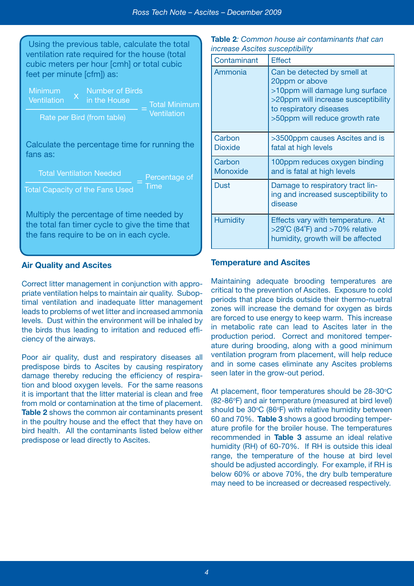**il Minimum** 

Using the previous table, calculate the total ventilation rate required for the house (total cubic meters per hour [cmh] or total cubic feet per minute [cfm]) as:

| Minimum<br>Ventilation     |             | Number of Birds<br>in the House | <b>Total Minin</b> |
|----------------------------|-------------|---------------------------------|--------------------|
| Rate per Bird (from table) | Ventilation |                                 |                    |

Calculate the percentage time for running the fans as:

Total Ventilation Needed

Percentage of **Time** 

Total Capacity of the Fans Used

Multiply the percentage of time needed by the total fan timer cycle to give the time that the fans require to be on in each cycle.

# **Air Quality and Ascites**

Correct litter management in conjunction with appropriate ventilation helps to maintain air quality. Suboptimal ventilation and inadequate litter management leads to problems of wet litter and increased ammonia levels. Dust within the environment will be inhaled by the birds thus leading to irritation and reduced efficiency of the airways.

Poor air quality, dust and respiratory diseases all predispose birds to Ascites by causing respiratory damage thereby reducing the efficiency of respiration and blood oxygen levels. For the same reasons it is important that the litter material is clean and free from mold or contamination at the time of placement. **Table 2** shows the common air contaminants present in the poultry house and the effect that they have on bird health. All the contaminants listed below either predispose or lead directly to Ascites.

**Table 2***: Common house air contaminants that can increase Ascites susceptibility*

| Contaminant        | <b>Effect</b>                                                                                                                                                                        |
|--------------------|--------------------------------------------------------------------------------------------------------------------------------------------------------------------------------------|
| Ammonia            | Can be detected by smell at<br>20ppm or above<br>>10ppm will damage lung surface<br>>20ppm will increase susceptibility<br>to respiratory diseases<br>>50ppm will reduce growth rate |
| Carbon<br>Dioxide  | >3500ppm causes Ascites and is<br>fatal at high levels                                                                                                                               |
| Carbon<br>Monoxide | 100ppm reduces oxygen binding<br>and is fatal at high levels                                                                                                                         |
| Dust               | Damage to respiratory tract lin-<br>ing and increased susceptibility to<br>disease                                                                                                   |
| <b>Humidity</b>    | Effects vary with temperature. At<br>$>$ 29°C (84°F) and $>$ 70% relative<br>humidity, growth will be affected                                                                       |

# **Temperature and Ascites**

Maintaining adequate brooding temperatures are critical to the prevention of Ascites. Exposure to cold periods that place birds outside their thermo-nuetral zones will increase the demand for oxygen as birds are forced to use energy to keep warm. This increase in metabolic rate can lead to Ascites later in the production period. Correct and monitored temperature during brooding, along with a good minimum ventilation program from placement, will help reduce and in some cases eliminate any Ascites problems seen later in the grow-out period.

At placement, floor temperatures should be 28-30°C (82-86°F) and air temperature (measured at bird level) should be  $30^{\circ}$ C (86 $^{\circ}$ F) with relative humidity between 60 and 70%. **Table 3** shows a good brooding temperature profile for the broiler house. The temperatures recommended in **Table 3** assume an ideal relative humidity (RH) of 60-70%. If RH is outside this ideal range, the temperature of the house at bird level should be adjusted accordingly. For example, if RH is below 60% or above 70%, the dry bulb temperature may need to be increased or decreased respectively.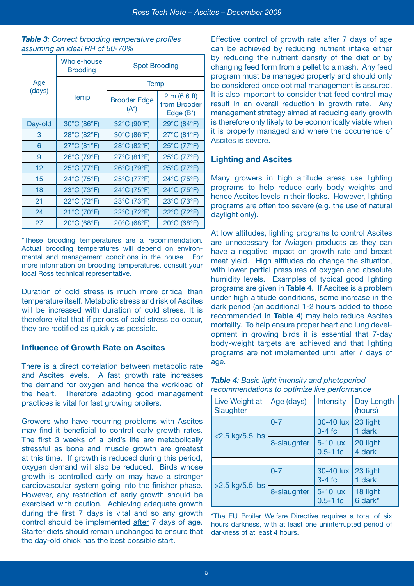#### *Table 3: Correct brooding temperature profiles assuming an ideal RH of 60-70%*

|               | <b>Whole-house</b><br><b>Brooding</b> | <b>Spot Brooding</b>           |                                           |  |
|---------------|---------------------------------------|--------------------------------|-------------------------------------------|--|
| Age<br>(days) |                                       | <b>Temp</b>                    |                                           |  |
|               | <b>Temp</b>                           | <b>Brooder Edge</b><br>$(A^*)$ | 2 m (6.6 ft)<br>from Brooder<br>Edge (B*) |  |
| Day-old       | 30°C (86°F)                           | 32°C (90°F)                    | 29°C (84°F)                               |  |
| 3             | 28°C (82°F)                           | 30°C (86°F)                    | 27°C (81°F)                               |  |
| 6             | 27°C (81°F)                           | 28°C (82°F)                    | 25°C (77°F)                               |  |
| 9             | 26°C (79°F)                           | 27°C (81°F)                    | 25°C (77°F)                               |  |
| 12            | 25°C (77°F)                           | 26°C (79°F)                    | 25°C (77°F)                               |  |
| 15            | 24°C (75°F)                           | 25°C (77°F)                    | 24°C (75°F)                               |  |
| 18            | 23°C (73°F)                           | 24°C (75°F)                    | 24°C (75°F)                               |  |
| 21            | 22°C (72°F)                           | 23°C (73°F)                    | 23°C (73°F)                               |  |
| 24            | 21°C (70°F)                           | 22°C (72°F)                    | 22°C (72°F)                               |  |
| 27            | 20°C (68°F)                           | 20°C (68°F)                    | 20°C (68°F)                               |  |

\*These brooding temperatures are a recommendation. Actual brooding temperatures will depend on environmental and management conditions in the house. For more information on brooding temperatures, consult your local Ross technical representative.

Duration of cold stress is much more critical than temperature itself. Metabolic stress and risk of Ascites will be increased with duration of cold stress. It is therefore vital that if periods of cold stress do occur, they are rectified as quickly as possible.

# **Influence of Growth Rate on Ascites**

There is a direct correlation between metabolic rate and Ascites levels. A fast growth rate increases the demand for oxygen and hence the workload of the heart. Therefore adapting good management practices is vital for fast growing broilers.

Growers who have recurring problems with Ascites may find it beneficial to control early growth rates. The first 3 weeks of a bird's life are metabolically stressful as bone and muscle growth are greatest at this time. If growth is reduced during this period, oxygen demand will also be reduced. Birds whose growth is controlled early on may have a stronger cardiovascular system going into the finisher phase. However, any restriction of early growth should be exercised with caution. Achieving adequate growth during the first 7 days is vital and so any growth control should be implemented after 7 days of age. Starter diets should remain unchanged to ensure that the day-old chick has the best possible start.

Effective control of growth rate after 7 days of age can be achieved by reducing nutrient intake either by reducing the nutrient density of the diet or by changing feed form from a pellet to a mash. Any feed program must be managed properly and should only be considered once optimal management is assured. It is also important to consider that feed control may result in an overall reduction in growth rate. Any management strategy aimed at reducing early growth is therefore only likely to be economically viable when it is properly managed and where the occurrence of Ascites is severe.

# **Lighting and Ascites**

Many growers in high altitude areas use lighting programs to help reduce early body weights and hence Ascites levels in their flocks. However, lighting programs are often too severe (e.g. the use of natural daylight only).

At low altitudes, lighting programs to control Ascites are unnecessary for Aviagen products as they can have a negative impact on growth rate and breast meat yield. High altitudes do change the situation, with lower partial pressures of oxygen and absolute humidity levels. Examples of typical good lighting programs are given in **Table 4**. If Ascites is a problem under high altitude conditions, some increase in the dark period (an additional 1-2 hours added to those recommended in **Table 4**) may help reduce Ascites mortality. To help ensure proper heart and lung development in growing birds it is essential that 7-day body-weight targets are achieved and that lighting programs are not implemented until after 7 days of age.

| Live Weight at<br>Slaughter | Age (days)  | Intensity                | Day Length<br>(hours) |
|-----------------------------|-------------|--------------------------|-----------------------|
| $<$ 2.5 kg/5.5 lbs          | $0 - 7$     | 30-40 lux<br>$3-4$ fc    | 23 light<br>1 dark    |
|                             | 8-slaughter | 5-10 lux<br>$0.5 - 1$ fc | 20 light<br>4 dark    |
|                             |             |                          |                       |
| $>2.5$ kg/5.5 lbs           | $0 - 7$     | 30-40 lux<br>$3-4$ fc    | 23 light<br>1 dark    |
|                             | 8-slaughter | 5-10 lux<br>$0.5-1$ fc   | 18 light<br>6 dark*   |

#### *Table 4: Basic light intensity and photoperiod recommendations to optimize live performance*

\*The EU Broiler Welfare Directive requires a total of six hours darkness, with at least one uninterrupted period of darkness of at least 4 hours.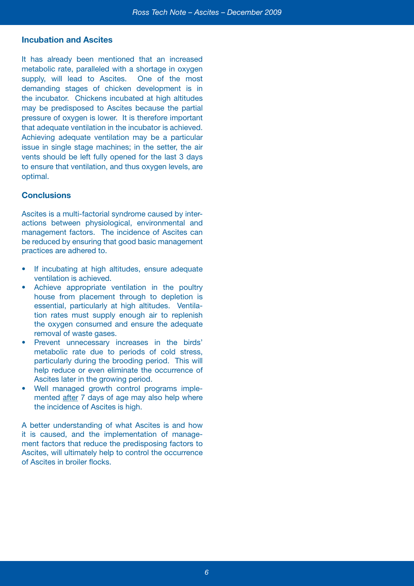# **Incubation and Ascites**

It has already been mentioned that an increased metabolic rate, paralleled with a shortage in oxygen supply, will lead to Ascites. One of the most demanding stages of chicken development is in the incubator. Chickens incubated at high altitudes may be predisposed to Ascites because the partial pressure of oxygen is lower. It is therefore important that adequate ventilation in the incubator is achieved. Achieving adequate ventilation may be a particular issue in single stage machines; in the setter, the air vents should be left fully opened for the last 3 days to ensure that ventilation, and thus oxygen levels, are optimal.

# **Conclusions**

Ascites is a multi-factorial syndrome caused by interactions between physiological, environmental and management factors. The incidence of Ascites can be reduced by ensuring that good basic management practices are adhered to.

- If incubating at high altitudes, ensure adequate ventilation is achieved.
- Achieve appropriate ventilation in the poultry house from placement through to depletion is essential, particularly at high altitudes. Ventilation rates must supply enough air to replenish the oxygen consumed and ensure the adequate removal of waste gases.
- Prevent unnecessary increases in the birds' metabolic rate due to periods of cold stress, particularly during the brooding period. This will help reduce or even eliminate the occurrence of Ascites later in the growing period.
- Well managed growth control programs implemented after 7 days of age may also help where the incidence of Ascites is high.

A better understanding of what Ascites is and how it is caused, and the implementation of management factors that reduce the predisposing factors to Ascites, will ultimately help to control the occurrence of Ascites in broiler flocks.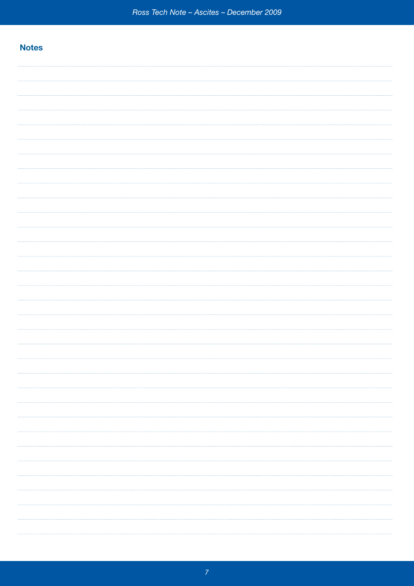# **Notes**